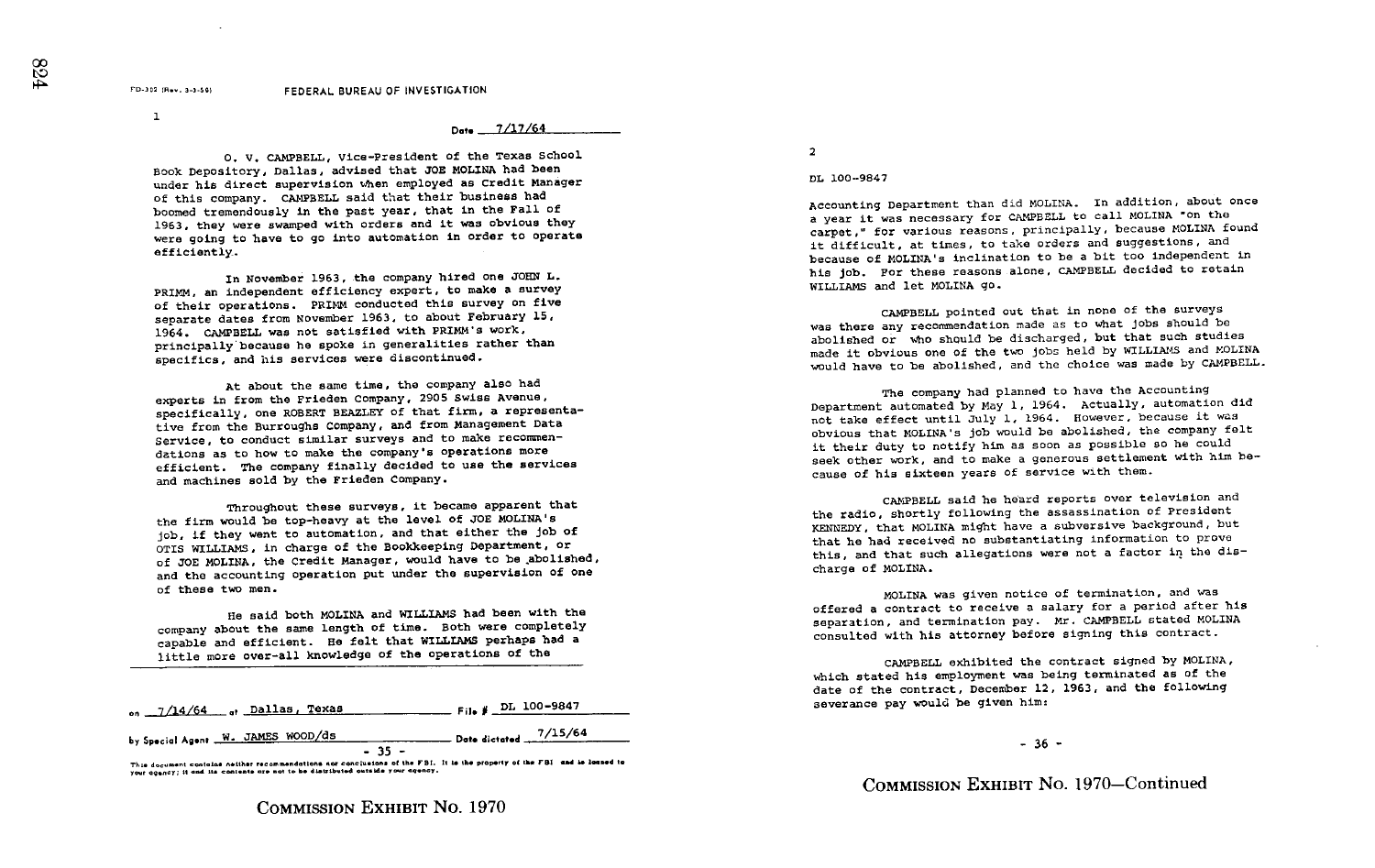#### FEDERAL BUREAU OF INVESTIGATION

 $\mathbf 1$ 

FD-302 (Rev. 3-3-59)

Date \_\_ 7/17/64

0. V. CAMPBELL, Vice-President of the Texas School Book Depository, Dallas, advised that JOE MOLINA had been under his direct supervision when employed as Credit Manager of this company. CAMPBELL said that their business had boomed tremendously in the past year, that in the Fall of 1963, they were swamped with orders and it was obvious they were going to have to go into automation in order to operate efficiently,.

PRIMM, an independent efficiency expert, to make a survey<br>of their operations. PRIMM conducted this survey on five In November 1963, the company hired one JOHN L. PRIMM, an independent efficiency expert, to make a survey separate dates from November 1963, to about February 15, 1964. CAMPBELL was not satisfied with PRIFMA 3 work,<br>principally because he spoke in generalities rather than specifics, and his services were discontinued . CAMPBELL was not satisfied with PRIMM's work,

experts in from the Frieden Company, 2905 Swiss Avenue,<br>specifically, one ROBERT BEAZLEY of that firm, a representa-<br>specifically, one ROBERT BEAZLEY of fight Management Data At about the same time, the company also had specifically, one ROBERT BEAZLEY OF that firm, a represent<br>tive from the Burroughs Company, and from Management Data experts in from the Frieden Company, 2905 Swiss Avenue, Service, to conduct similar surveys and to make recomments.<br>dations as to how to make the company's operations more dations as to how to make the company's operations more<br>efficient. The company finally decided to use the services Service, to conduct similar surveys and to make recommenand machines sold by the Frieden Company .

Throughout these surveys, it became apparent that the firm would be top-heavy at the level of JOE MOLINA's job, if they went to automation, and that either the job of OTIS WILLIAMS, in charge of the Bookkeeping Department, or of JOE MOLINA, the Credit Manager, would have to be abolished, and the accounting operation put under the supervision of one of these two men.

He said both MOLINA and WILLIAMS had been with the company about the same length of time. Both were completely separation, and termination pay. Mr. CAMPBELL stated MOLINA<br>consulted with his attorney before signing this contract. company docut in bume long and that WILLIAMS perhaps had a consulted with his attorney before signing this capable and efficient. He felt that WILLIAMS perhaps had a consulted with his attorney before signing this<br>consulte little more over-all knowledge of the operations of the

|  | on 7/14/64 or Dallas, Texas       | $Fig. 8 - 2L 100 - 9847$  |
|--|-----------------------------------|---------------------------|
|  | by Special Agent W. JAMES WOOD/ds | . Date dictated $7/15/64$ |
|  | $-35 -$                           |                           |

This document contains neither recommendations nor conclusions of the FBI. It is the property of the FBI and is loaned to This document contains neither recommendations nor conclusions of the r Bit.<br>your agency; it and lis contents are not to be distributed outside your agency.

2

# DL 100-9847

Accounting Department than did MOLINA. In addition, about once <sup>a</sup> year it was necessary for CAMPBELL to call MOLINA "on the carpet," for various reasons, principally, because MOLINA found it difficult, at times, to take orders and suggestions, and because of MOLINA's inclination to be <sup>a</sup> bit too independent in his job. For these reasons alone, CAMPBELL decided to retain WILLIAMS and let MOLINA go .

CAMPBELL pointed out that in none of the surveys was there any recommendation made as to what jobs should be abolished or who should be discharged, but that such studies made it obvious one of the two jobs held by WILLIAMS and MOLINA would have to be abolished, and the choice was made by CAMPBELL.

The company had planned to have the Accounting Department automated by May 1, 1964. Actually, automation did not take effect until July 1, 1964. However, because it was<br>obvious that MOLINA's job would be abolished, the company felt not take effect until July 1, 1964. However, because it was it their duty to notify him as soon as possible so he could<br>seek other work, and to make a generous settlement with him beit their duty to notify him as soon as possible so he could cause of his sixteen years of service with them .

CAMPBELL said he beard reports over television and the radio, shortly following the assassination of President KENNEDY, that MOLINA might have a subversive background, but that he bad received no substantiating information to prove this , and that such allegations were not <sup>a</sup> factor in the discharge of MOLINA .

MOLINA was given notice of termination, and was contract to receive a salary for a p<br>, and termination pay. Mr. CAMPBELL<br> Ct t receive <sup>a</sup> salary for period after his . C with his attorney before signing this contract.

severance pay would be given him: CAMPBELL exhibited the contract signed by MOLINA, which stated his employment was being terminated as of the date of the contract, December 12, 1963, and the following

### $-36$  -

COMMISSION EXHIBIT No. 1970-Continued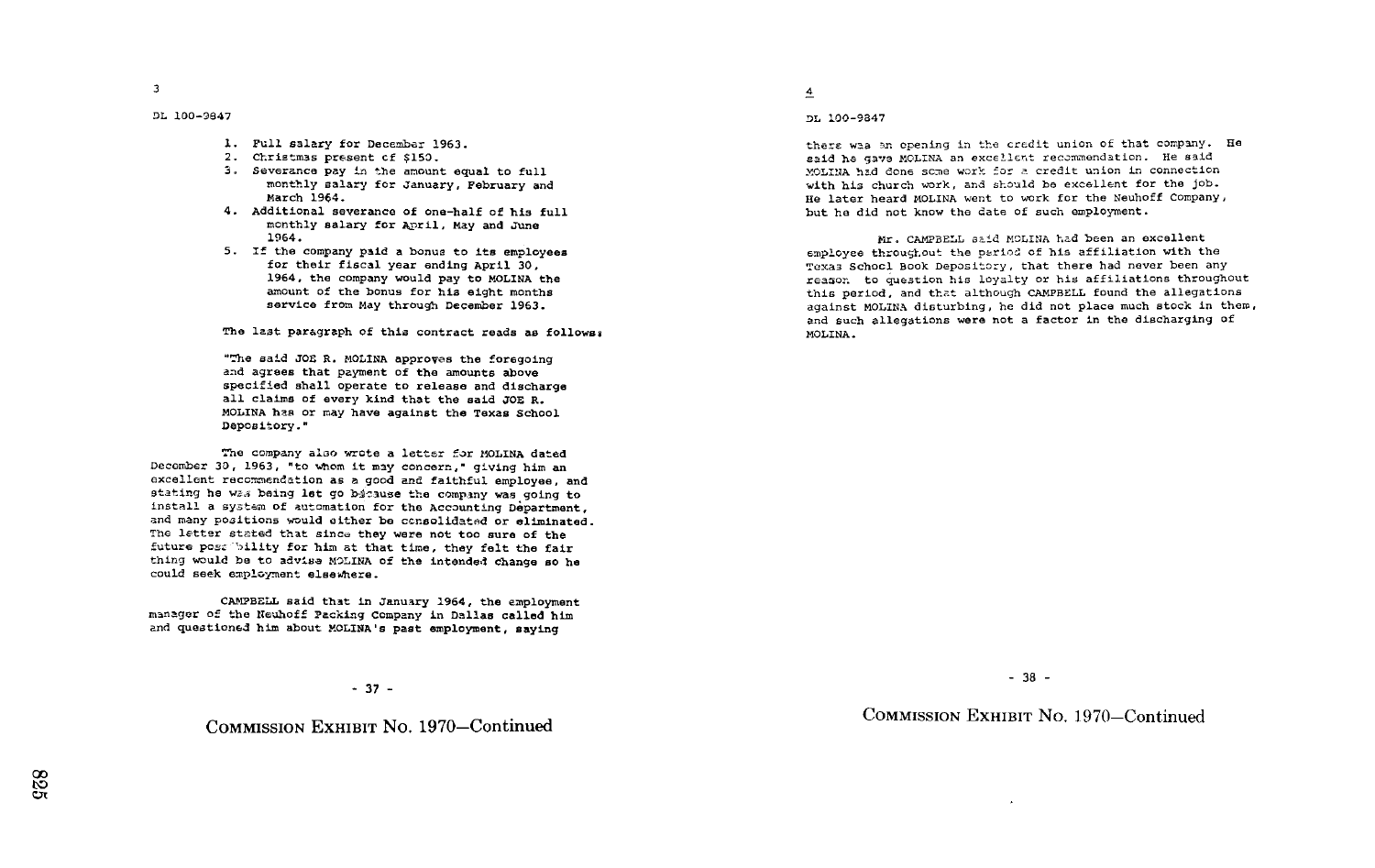## DL 100-DS47

- 1. Full salary for December 1963.
- 2. Christmas present of \$150.
- <sup>3</sup> . Severance pay in the amount equal to full monthly salary for January, February and Match 1964 .
- 4 . Additional severance of one-half of his full monthly salary for &nril, may and June 1964 .
- <sup>5</sup> . If the company paid <sup>a</sup> bonus to its employees for their fiscal year ending April 30, 1964, the company would pay to MOLINA the amount of the bonus for his eight months service from May through December 1963 .

The last paragraph of this contract reads as follows:

"The said JOE R. MOLINA approves the foregoing and agrees that payment of the amounts above specified shall operate to release and discharge all claims of every kind that the said JOE R. MOLINA has or may have against the Texas School Depository."

The company also wrote a letter for MOLINA dated December 30, 1963, "to whom it may concern," giving him an excellent recommendation as a good and faithful employee, and<br>stating he was being let go bacause the company was going to<br>install a system of automation for the Accounting Department, install a system of automation for the Accounting Department, and many positions would either be consolidated or eliminated. The letter stated that since they were not too sure of the future poss 'bility for him at that time, they felt the fair thing would be to advise MOLINA of the intended change so he could seek employment elsewhere.

CAMPBELL said that in January 1964, the employment manager of the Neuhoff Packing Company in Dallas called him and questioned him about MOLINA's past employment, saying

- 37 -

COMMISSION EXHIBIT No. 1970-Continued

4DL 100-9a47

there was an opening in the credit union of that company. He said he gavs MOLINA an excellent recommendation. He said MOLINA had done some work for a credit union in connection with his church work, and should be excellent for the job. He later heard MOLINA went to work for the Neuhoff Company, but he did not know the date of such employment .

Mr. CAMPBELL said MOLINA had been an excellent employee throuGhout the period of his affiliation with the TeXaa School Book Depository, that there had never been any reason to question his loyalty or his affiliations throughout this period, and that although CAMPBELL found the allegations against MOLINA disturbing, he did not place much stock in them, and such allegations were not a factor in the discharging of MOLINA .

- 38 -

COMMISSION EXHIBIT No. 1970-Continued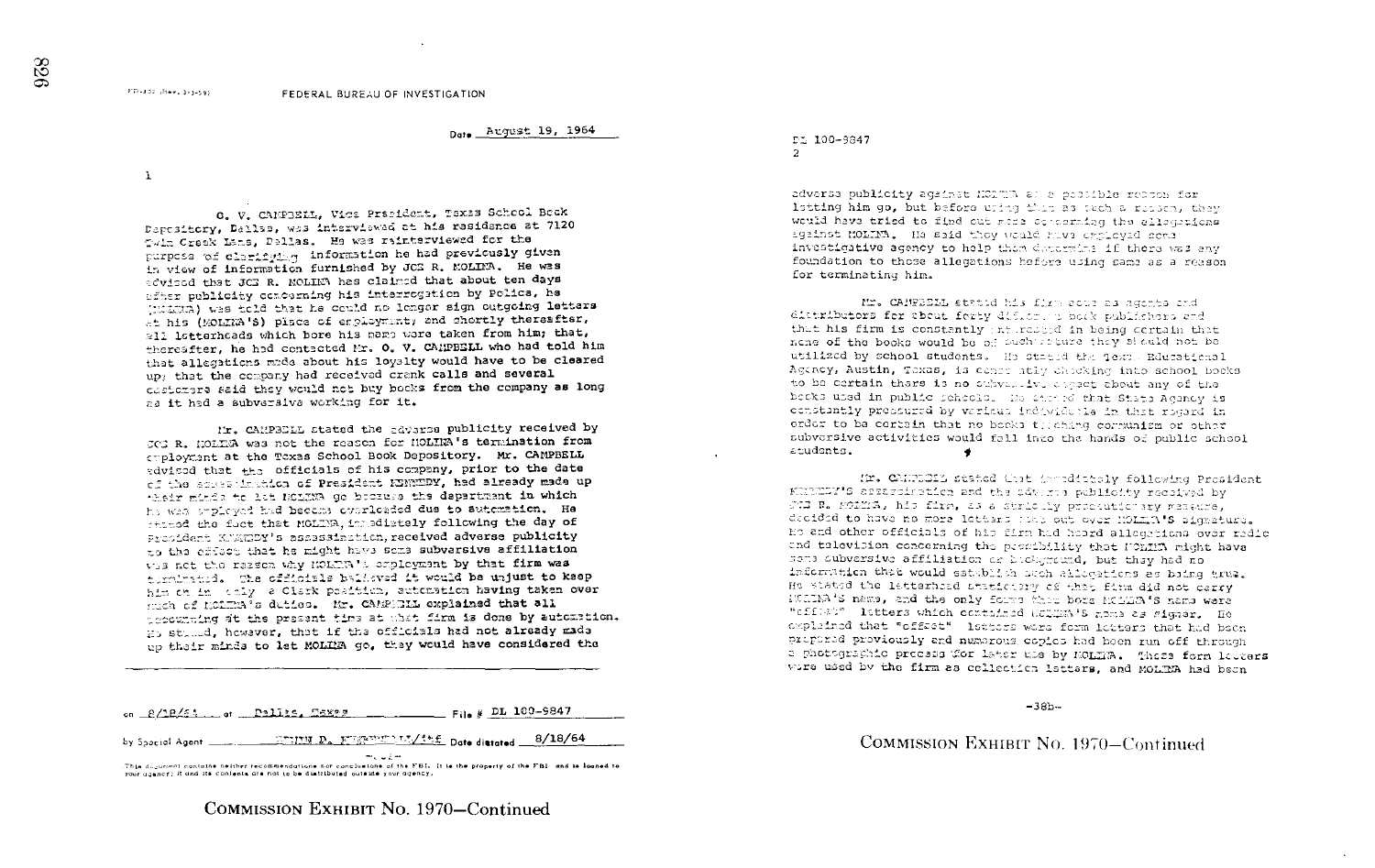$\mathbf{I}$ 

**FD-302 (flex, 3-3-59)** 

O. V. CAMPBELL, Vice Pracident, Texas School Beck Depository, Dallas, was interviewed at his residence at 7120 Twin Creek Lans, Dellas. He was rainterviewed for the purpose of clarifying information he had previously given in view of information furnished by JCS R. MOLIPA. He was advised that JCB R. MOLIKA has claimed that about ten days after publicity concerning his interrogation by Polica, he Witten ) was told that he could no longer sign outgoing letters at his (MOLINA's) place of employment, and chortly thereafter, #11 lotterhoads which bore his mamp were taken from him; that, thereafter, he had centacted Mr. O. V. CAMPBELL who had told him that allegations made about his loyalty would have to be cleared up; that the company had received crank calls and several customers said they would not buy books from the company as long ga it had a subversive working for it.

I'r. CANPEDLL stated the gdverse publicity received by JOG R. MOLERA was not the reason for MOLERA's termination from employment at the Toxas School Book Depository. Mr. CAMPBELL advised that the officials of his company, prior to the date of the soves that the of President HENNEDY, had already made up thatr minds to lat NCLEER go because the department in which ha was ampleved had become overloaded due to autemation. He tered the fact that MOLINA, in adiately following the day of Probident KNATEY's assassination, received adverse publicity to the criset that he might have some subversive affiliation the not the reason why HOLDR's copievant by that firm was terminated. The officials balisved it would be unjust to keep him on in coly a Clark position, sutchation having taken over much of HOLERA's duties. Mr. CANPETIL explained that all pecounting at the present time at what firm is done by automation. He stand, however, that if the officials had not already made we thair minds to let MOLERA go, they would have considered the

on 8/18/44 of Pallas, Taxay  $_{\rm{Eil}}$   $_{\rm{B}}$   $_{\rm{B}}$  DL 100-9847

EDITIN D. EUSTED W/15f Data distant 8/18/64 by Spacial Agent

معاقبين بمعا 

# COMMISSION EXHIBIT No. 1970-Continued

Pr 100-9847  $\mathcal{L}$ 

adverss publicity against HOITEN as a passible reason for lotting him go, but before union that as tuch a reason, they would have tried to find out mess concerning the allowanions against MOLINA. He said they would have croinved nera investigative agency to help them dutermins if there was any foundation to those allegations hefore using same as a reason for terminating him.

Mr. CANFEELL stated his firm sous as agents and dittributors for about forty different book publishers and that his firm is constantly interested in being cortain that none of the books would be of auch return they should not be utilized by school students. He stated the jext. Educational Agency, Austin, Texas, is confr atly checking into school books to be certain there is no subvallive appect about any of the books used in public scheels. He stated that State Agency is constintly pressured by various individuals in that regard in order to be cortain that no books theching communism or other subversive activities would fall into the hands of public school atudonts.

Mr. CANDICIL stated that ingrediately following President KEPERT'S assassination and the savered publicity recaived by CO2 R. FOLES, his firm, as a strictly proceduterary measure. decided to have no more letters (sab out cycr Homma's signature. He and other officials of his firm had heard allocations over radio and television concerning the presthillity that Fonim might have seme aubversive affiliation or brokenound, but thay had no information that would establish such allowations as being true. He stated the latterhood staticiory of the firm did not carry MULINA's name, and the only fours them bors Mulla's name were "cff:40" letters which contained McDERA's roma as giggar. Fe explained that "offeet" latters were form letters that had been propored proviously and numerous copies had been run off through a photographic process for later ule by MOLTRA. These form latters wirs used by the firm as cellection latters, and MOLTRA had been

 $-38<sub>b</sub>$ 

COMMISSION EXHIBIT No. 1970-Continued